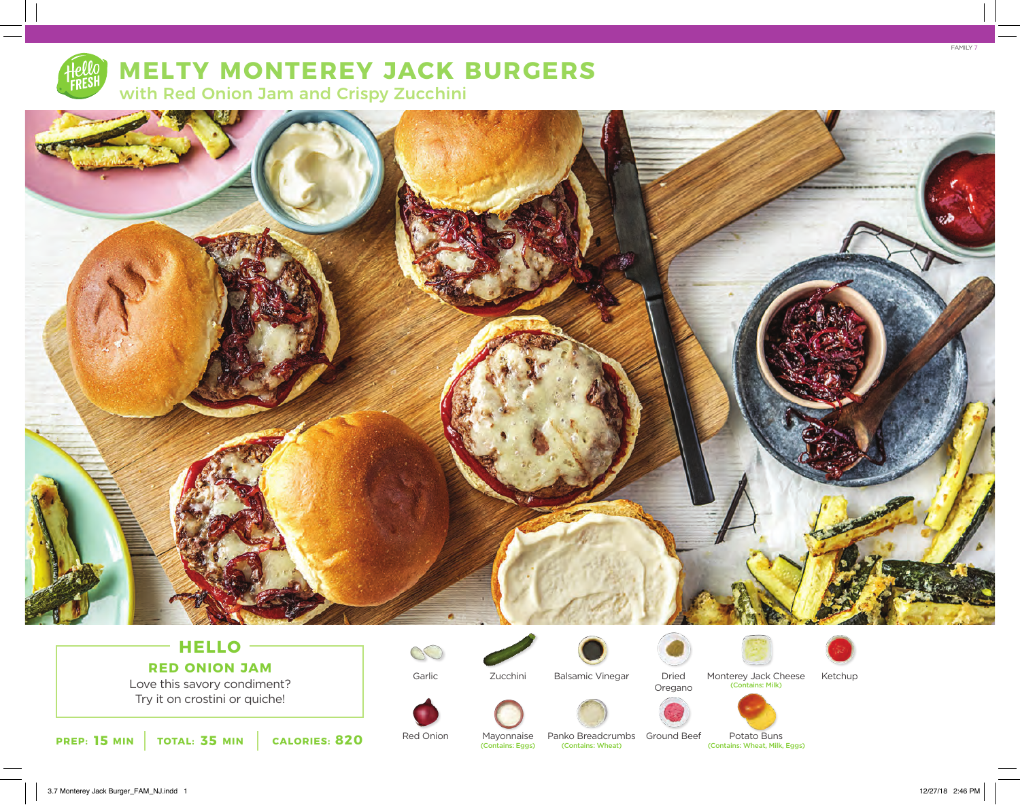

# **MELTY MONTEREY JACK BURGERS**

with Red Onion Jam and Crispy Zucchini



## **HELLO RED ONION JAM**

Love this savory condiment? Try it on crostini or quiche!







Balsamic Vinegar



Dried Oregano



Monterey Jack Cheese<br>
(Contains: Milk) Ketchup





**15 MIN** TOTAL: 35 MIN CALORIES: 820 Red Onion Mayonnaise Panko Breadcrumbs Ground Beet Potato Buns (Contains: Wheat, Milk, Eggs) (Contains: Wheat, Milk, Eggs) Panko Breadcrumbs Ground Beef

Potato Buns<br>(Contains: Wheat, Milk, Eggs)



FAMILY 7